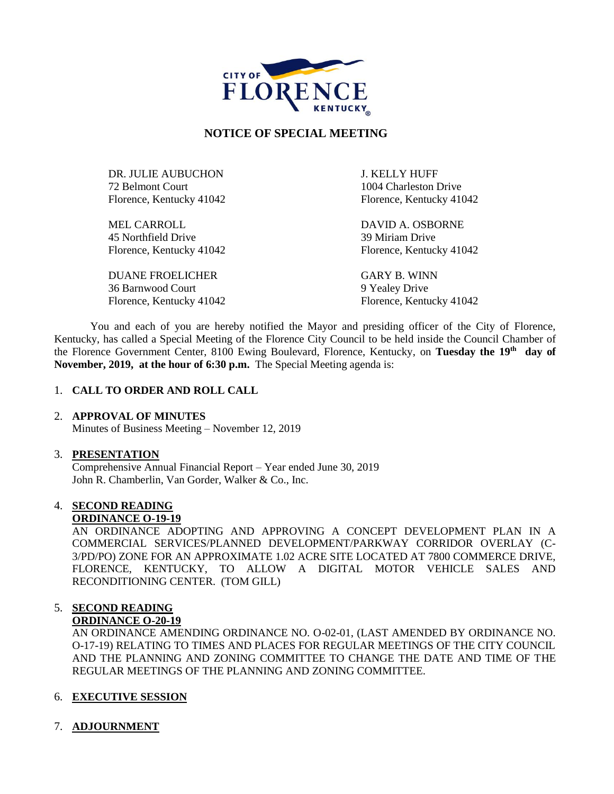

# **NOTICE OF SPECIAL MEETING**

DR. JULIE AUBUCHON J. KELLY HUFF 72 Belmont Court 1004 Charleston Drive Florence, Kentucky 41042 Florence, Kentucky 41042

MEL CARROLL DAVID A. OSBORNE 45 Northfield Drive 39 Miriam Drive

DUANE FROELICHER GARY B. WINN 36 Barnwood Court 9 Yealey Drive

Florence, Kentucky 41042 Florence, Kentucky 41042

Florence, Kentucky 41042 Florence, Kentucky 41042

You and each of you are hereby notified the Mayor and presiding officer of the City of Florence, Kentucky, has called a Special Meeting of the Florence City Council to be held inside the Council Chamber of the Florence Government Center, 8100 Ewing Boulevard, Florence, Kentucky, on **Tuesday the 19th day of November, 2019, at the hour of 6:30 p.m.** The Special Meeting agenda is:

### 1. **CALL TO ORDER AND ROLL CALL**

### 2. **APPROVAL OF MINUTES**

Minutes of Business Meeting – November 12, 2019

### 3. **PRESENTATION**

Comprehensive Annual Financial Report – Year ended June 30, 2019 John R. Chamberlin, Van Gorder, Walker & Co., Inc.

# 4. **SECOND READING**

## **ORDINANCE O-19-19**

AN ORDINANCE ADOPTING AND APPROVING A CONCEPT DEVELOPMENT PLAN IN A COMMERCIAL SERVICES/PLANNED DEVELOPMENT/PARKWAY CORRIDOR OVERLAY (C-3/PD/PO) ZONE FOR AN APPROXIMATE 1.02 ACRE SITE LOCATED AT 7800 COMMERCE DRIVE, FLORENCE, KENTUCKY, TO ALLOW A DIGITAL MOTOR VEHICLE SALES AND RECONDITIONING CENTER. (TOM GILL)

### 5. **SECOND READING ORDINANCE O-20-19**

AN ORDINANCE AMENDING ORDINANCE NO. O-02-01, (LAST AMENDED BY ORDINANCE NO. O-17-19) RELATING TO TIMES AND PLACES FOR REGULAR MEETINGS OF THE CITY COUNCIL AND THE PLANNING AND ZONING COMMITTEE TO CHANGE THE DATE AND TIME OF THE REGULAR MEETINGS OF THE PLANNING AND ZONING COMMITTEE.

# 6. **EXECUTIVE SESSION**

7. **ADJOURNMENT**